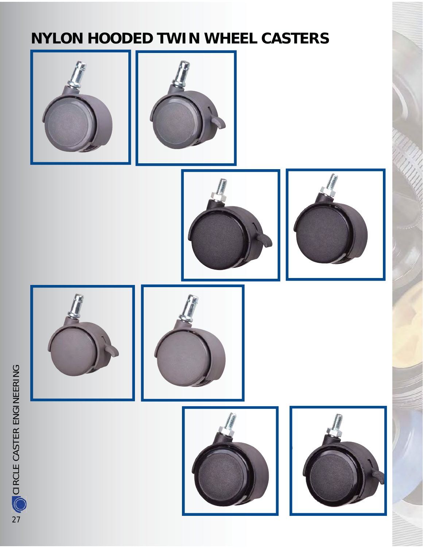## **NYLON HOODED TWIN WHEEL CASTERS**